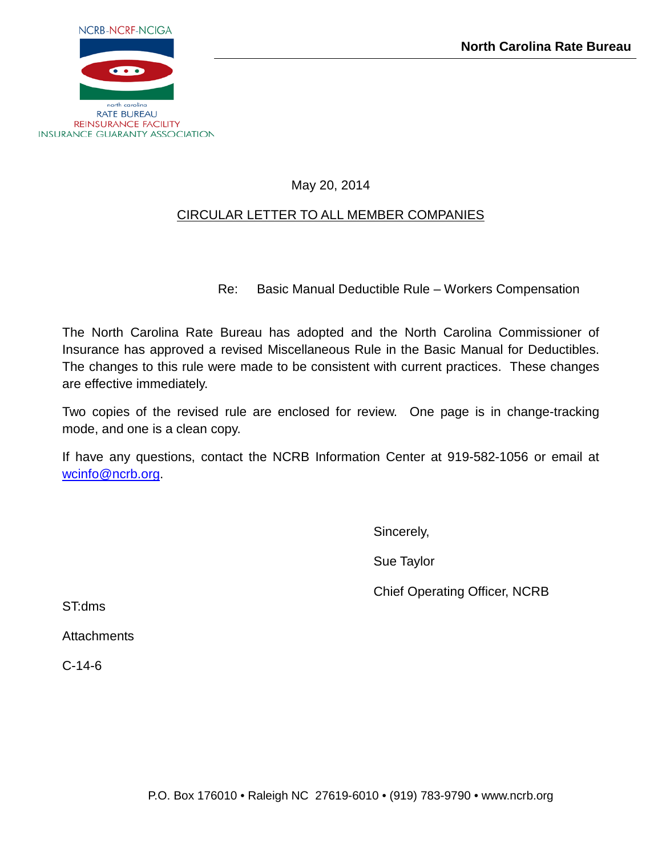

## May 20, 2014

## CIRCULAR LETTER TO ALL MEMBER COMPANIES

Re: Basic Manual Deductible Rule – Workers Compensation

The North Carolina Rate Bureau has adopted and the North Carolina Commissioner of Insurance has approved a revised Miscellaneous Rule in the Basic Manual for Deductibles. The changes to this rule were made to be consistent with current practices. These changes are effective immediately.

Two copies of the revised rule are enclosed for review. One page is in change-tracking mode, and one is a clean copy.

If have any questions, contact the NCRB Information Center at 919-582-1056 or email at [wcinfo@ncrb.org.](mailto:wcinfo@ncrb.org)

Sincerely,

Sue Taylor

Chief Operating Officer, NCRB

ST:dms

**Attachments** 

C-14-6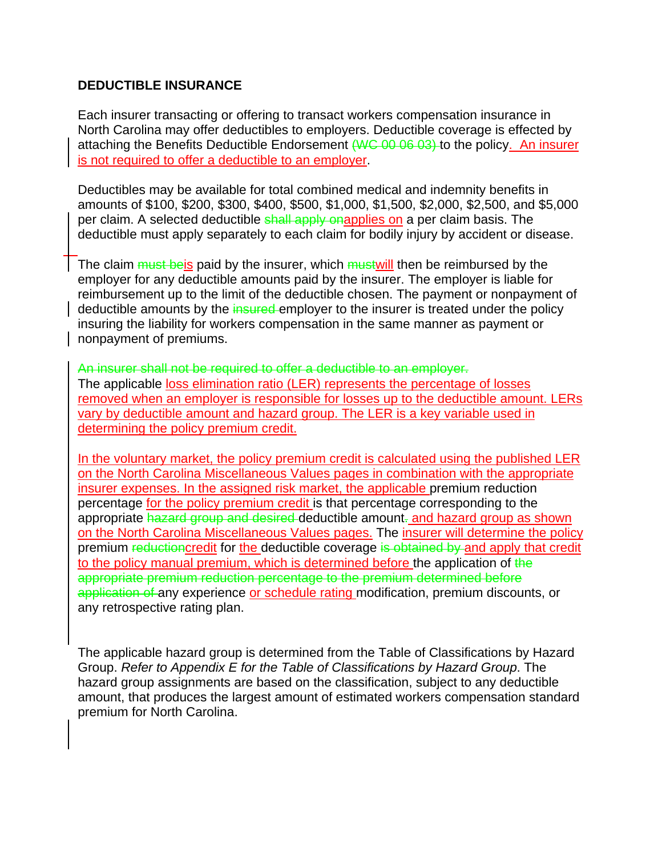## **DEDUCTIBLE INSURANCE**

Each insurer transacting or offering to transact workers compensation insurance in North Carolina may offer deductibles to employers. Deductible coverage is effected by attaching the Benefits Deductible Endorsement (WC 00 06 03) to the policy. An insurer is not required to offer a deductible to an employer.

Deductibles may be available for total combined medical and indemnity benefits in amounts of \$100, \$200, \$300, \$400, \$500, \$1,000, \$1,500, \$2,000, \$2,500, and \$5,000 per claim. A selected deductible shall apply onapplies on a per claim basis. The deductible must apply separately to each claim for bodily injury by accident or disease.

The claim must beis paid by the insurer, which must will then be reimbursed by the employer for any deductible amounts paid by the insurer. The employer is liable for reimbursement up to the limit of the deductible chosen. The payment or nonpayment of deductible amounts by the insured employer to the insurer is treated under the policy insuring the liability for workers compensation in the same manner as payment or nonpayment of premiums.

An insurer shall not be required to offer a deductible to an employer. The applicable loss elimination ratio (LER) represents the percentage of losses removed when an employer is responsible for losses up to the deductible amount. LERs vary by deductible amount and hazard group. The LER is a key variable used in determining the policy premium credit.

In the voluntary market, the policy premium credit is calculated using the published LER on the North Carolina Miscellaneous Values pages in combination with the appropriate insurer expenses. In the assigned risk market, the applicable premium reduction percentage for the policy premium credit is that percentage corresponding to the appropriate hazard group and desired deductible amount. and hazard group as shown on the North Carolina Miscellaneous Values pages. The insurer will determine the policy premium reductioncredit for the deductible coverage is obtained by and apply that credit to the policy manual premium, which is determined before the application of the appropriate premium reduction percentage to the premium determined before application of any experience or schedule rating modification, premium discounts, or any retrospective rating plan.

The applicable hazard group is determined from the Table of Classifications by Hazard Group. *Refer to Appendix E for the Table of Classifications by Hazard Group*. The hazard group assignments are based on the classification, subject to any deductible amount, that produces the largest amount of estimated workers compensation standard premium for North Carolina.